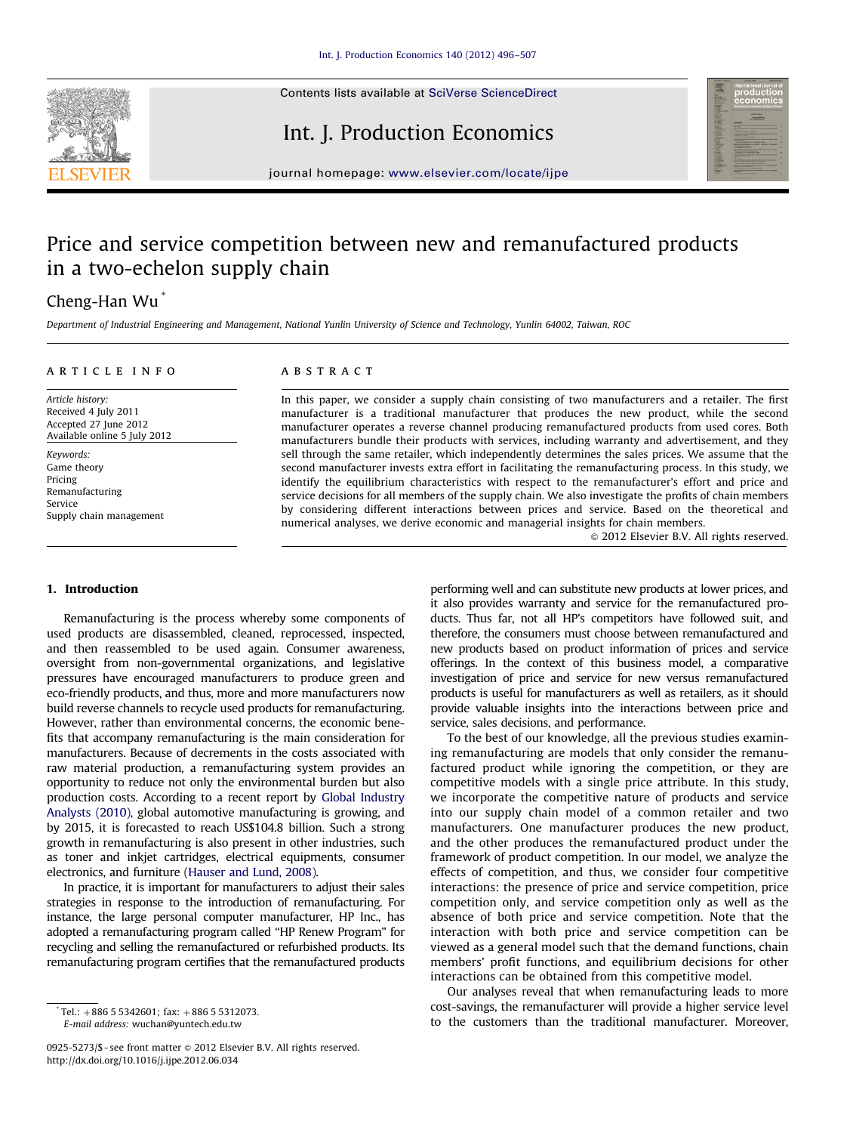

Contents lists available at [SciVerse ScienceDirect](www.elsevier.com/locate/ijpe)

## Int. J. Production Economics



journal homepage: <www.elsevier.com/locate/ijpe>

# Price and service competition between new and remanufactured products in a two-echelon supply chain

## Cheng-Han Wu \*

Department of Industrial Engineering and Management, National Yunlin University of Science and Technology, Yunlin 64002, Taiwan, ROC

#### article info

Article history: Received 4 July 2011 Accepted 27 June 2012 Available online 5 July 2012

Keywords: Game theory Pricing Remanufacturing Service Supply chain management

#### 1. Introduction

Remanufacturing is the process whereby some components of used products are disassembled, cleaned, reprocessed, inspected, and then reassembled to be used again. Consumer awareness, oversight from non-governmental organizations, and legislative pressures have encouraged manufacturers to produce green and eco-friendly products, and thus, more and more manufacturers now build reverse channels to recycle used products for remanufacturing. However, rather than environmental concerns, the economic benefits that accompany remanufacturing is the main consideration for manufacturers. Because of decrements in the costs associated with raw material production, a remanufacturing system provides an opportunity to reduce not only the environmental burden but also production costs. According to a recent report by [Global Industry](#page--1-0) [Analysts \(2010\)](#page--1-0), global automotive manufacturing is growing, and by 2015, it is forecasted to reach US\$104.8 billion. Such a strong growth in remanufacturing is also present in other industries, such as toner and inkjet cartridges, electrical equipments, consumer electronics, and furniture [\(Hauser and Lund, 2008\)](#page--1-0).

In practice, it is important for manufacturers to adjust their sales strategies in response to the introduction of remanufacturing. For instance, the large personal computer manufacturer, HP Inc., has adopted a remanufacturing program called ''HP Renew Program'' for recycling and selling the remanufactured or refurbished products. Its remanufacturing program certifies that the remanufactured products

E-mail address: [wuchan@yuntech.edu.tw](mailto:wuchan@yuntech.edu.tw)

### **ABSTRACT**

In this paper, we consider a supply chain consisting of two manufacturers and a retailer. The first manufacturer is a traditional manufacturer that produces the new product, while the second manufacturer operates a reverse channel producing remanufactured products from used cores. Both manufacturers bundle their products with services, including warranty and advertisement, and they sell through the same retailer, which independently determines the sales prices. We assume that the second manufacturer invests extra effort in facilitating the remanufacturing process. In this study, we identify the equilibrium characteristics with respect to the remanufacturer's effort and price and service decisions for all members of the supply chain. We also investigate the profits of chain members by considering different interactions between prices and service. Based on the theoretical and numerical analyses, we derive economic and managerial insights for chain members.

 $\odot$  2012 Elsevier B.V. All rights reserved.

performing well and can substitute new products at lower prices, and it also provides warranty and service for the remanufactured products. Thus far, not all HP's competitors have followed suit, and therefore, the consumers must choose between remanufactured and new products based on product information of prices and service offerings. In the context of this business model, a comparative investigation of price and service for new versus remanufactured products is useful for manufacturers as well as retailers, as it should provide valuable insights into the interactions between price and service, sales decisions, and performance.

To the best of our knowledge, all the previous studies examining remanufacturing are models that only consider the remanufactured product while ignoring the competition, or they are competitive models with a single price attribute. In this study, we incorporate the competitive nature of products and service into our supply chain model of a common retailer and two manufacturers. One manufacturer produces the new product, and the other produces the remanufactured product under the framework of product competition. In our model, we analyze the effects of competition, and thus, we consider four competitive interactions: the presence of price and service competition, price competition only, and service competition only as well as the absence of both price and service competition. Note that the interaction with both price and service competition can be viewed as a general model such that the demand functions, chain members' profit functions, and equilibrium decisions for other interactions can be obtained from this competitive model.

Our analyses reveal that when remanufacturing leads to more cost-savings, the remanufacturer will provide a higher service level to the customers than the traditional manufacturer. Moreover,

 $T$ el.:  $+88655342601$ ; fax:  $+88655312073$ .

<sup>0925-5273/\$ -</sup> see front matter  $\circ$  2012 Elsevier B.V. All rights reserved. [http://dx.doi.org/10.1016/j.ijpe.2012.06.034](dx.doi.org/10.1016/j.ijpe.2012.06.034)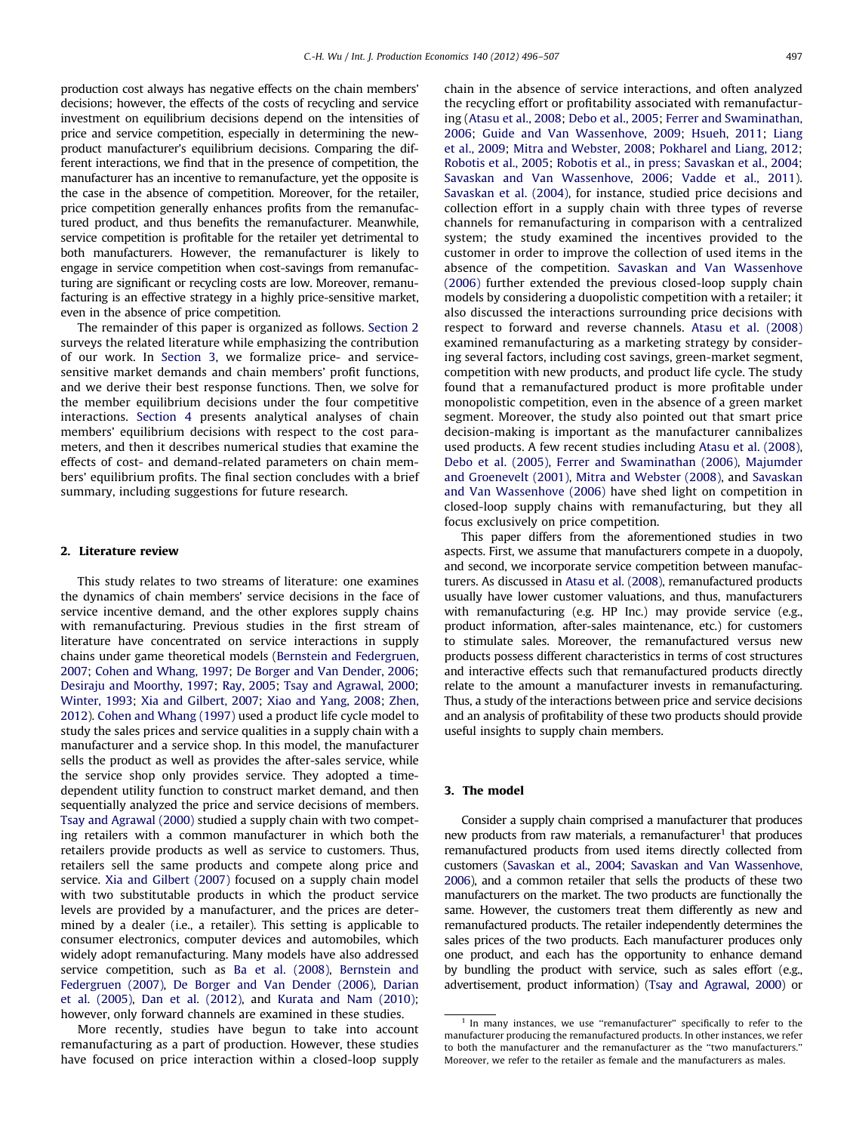production cost always has negative effects on the chain members' decisions; however, the effects of the costs of recycling and service investment on equilibrium decisions depend on the intensities of price and service competition, especially in determining the newproduct manufacturer's equilibrium decisions. Comparing the different interactions, we find that in the presence of competition, the manufacturer has an incentive to remanufacture, yet the opposite is the case in the absence of competition. Moreover, for the retailer, price competition generally enhances profits from the remanufactured product, and thus benefits the remanufacturer. Meanwhile, service competition is profitable for the retailer yet detrimental to both manufacturers. However, the remanufacturer is likely to engage in service competition when cost-savings from remanufacturing are significant or recycling costs are low. Moreover, remanufacturing is an effective strategy in a highly price-sensitive market, even in the absence of price competition.

The remainder of this paper is organized as follows. Section 2 surveys the related literature while emphasizing the contribution of our work. In Section 3, we formalize price- and servicesensitive market demands and chain members' profit functions, and we derive their best response functions. Then, we solve for the member equilibrium decisions under the four competitive interactions. [Section 4](#page--1-0) presents analytical analyses of chain members' equilibrium decisions with respect to the cost parameters, and then it describes numerical studies that examine the effects of cost- and demand-related parameters on chain members' equilibrium profits. The final section concludes with a brief summary, including suggestions for future research.

#### 2. Literature review

This study relates to two streams of literature: one examines the dynamics of chain members' service decisions in the face of service incentive demand, and the other explores supply chains with remanufacturing. Previous studies in the first stream of literature have concentrated on service interactions in supply chains under game theoretical models [\(Bernstein and Federgruen,](#page--1-0) [2007](#page--1-0); [Cohen and Whang, 1997](#page--1-0); [De Borger and Van Dender, 2006;](#page--1-0) [Desiraju and Moorthy, 1997;](#page--1-0) [Ray, 2005](#page--1-0); [Tsay and Agrawal, 2000;](#page--1-0) [Winter, 1993;](#page--1-0) [Xia and Gilbert, 2007](#page--1-0); [Xiao and Yang, 2008;](#page--1-0) [Zhen,](#page--1-0) [2012](#page--1-0)). [Cohen and Whang \(1997\)](#page--1-0) used a product life cycle model to study the sales prices and service qualities in a supply chain with a manufacturer and a service shop. In this model, the manufacturer sells the product as well as provides the after-sales service, while the service shop only provides service. They adopted a timedependent utility function to construct market demand, and then sequentially analyzed the price and service decisions of members. [Tsay and Agrawal \(2000\)](#page--1-0) studied a supply chain with two competing retailers with a common manufacturer in which both the retailers provide products as well as service to customers. Thus, retailers sell the same products and compete along price and service. [Xia and Gilbert \(2007\)](#page--1-0) focused on a supply chain model with two substitutable products in which the product service levels are provided by a manufacturer, and the prices are determined by a dealer (i.e., a retailer). This setting is applicable to consumer electronics, computer devices and automobiles, which widely adopt remanufacturing. Many models have also addressed service competition, such as [Ba et al. \(2008\),](#page--1-0) [Bernstein and](#page--1-0) [Federgruen \(2007\),](#page--1-0) [De Borger and Van Dender \(2006\),](#page--1-0) [Darian](#page--1-0) [et al. \(2005\),](#page--1-0) [Dan et al. \(2012\)](#page--1-0), and [Kurata and Nam \(2010\);](#page--1-0) however, only forward channels are examined in these studies.

More recently, studies have begun to take into account remanufacturing as a part of production. However, these studies have focused on price interaction within a closed-loop supply chain in the absence of service interactions, and often analyzed the recycling effort or profitability associated with remanufacturing ([Atasu et al., 2008;](#page--1-0) [Debo et al., 2005;](#page--1-0) [Ferrer and Swaminathan,](#page--1-0) [2006;](#page--1-0) [Guide and Van Wassenhove, 2009](#page--1-0); [Hsueh, 2011;](#page--1-0) [Liang](#page--1-0) [et al., 2009](#page--1-0); [Mitra and Webster, 2008;](#page--1-0) [Pokharel and Liang, 2012;](#page--1-0) [Robotis et al., 2005;](#page--1-0) [Robotis et al., in press; Savaskan et al., 2004;](#page--1-0) [Savaskan and Van Wassenhove, 2006](#page--1-0); [Vadde et al., 2011\)](#page--1-0). [Savaskan et al. \(2004\)](#page--1-0), for instance, studied price decisions and collection effort in a supply chain with three types of reverse channels for remanufacturing in comparison with a centralized system; the study examined the incentives provided to the customer in order to improve the collection of used items in the absence of the competition. [Savaskan and Van Wassenhove](#page--1-0) [\(2006\)](#page--1-0) further extended the previous closed-loop supply chain models by considering a duopolistic competition with a retailer; it also discussed the interactions surrounding price decisions with respect to forward and reverse channels. [Atasu et al. \(2008\)](#page--1-0) examined remanufacturing as a marketing strategy by considering several factors, including cost savings, green-market segment, competition with new products, and product life cycle. The study found that a remanufactured product is more profitable under monopolistic competition, even in the absence of a green market segment. Moreover, the study also pointed out that smart price decision-making is important as the manufacturer cannibalizes used products. A few recent studies including [Atasu et al. \(2008\),](#page--1-0) [Debo et al. \(2005\)](#page--1-0), [Ferrer and Swaminathan \(2006\),](#page--1-0) [Majumder](#page--1-0) [and Groenevelt \(2001\),](#page--1-0) [Mitra and Webster \(2008\)](#page--1-0), and [Savaskan](#page--1-0) [and Van Wassenhove \(2006\)](#page--1-0) have shed light on competition in closed-loop supply chains with remanufacturing, but they all focus exclusively on price competition.

This paper differs from the aforementioned studies in two aspects. First, we assume that manufacturers compete in a duopoly, and second, we incorporate service competition between manufacturers. As discussed in [Atasu et al. \(2008\)](#page--1-0), remanufactured products usually have lower customer valuations, and thus, manufacturers with remanufacturing (e.g. HP Inc.) may provide service (e.g., product information, after-sales maintenance, etc.) for customers to stimulate sales. Moreover, the remanufactured versus new products possess different characteristics in terms of cost structures and interactive effects such that remanufactured products directly relate to the amount a manufacturer invests in remanufacturing. Thus, a study of the interactions between price and service decisions and an analysis of profitability of these two products should provide useful insights to supply chain members.

#### 3. The model

Consider a supply chain comprised a manufacturer that produces new products from raw materials, a remanufacturer $1$  that produces remanufactured products from used items directly collected from customers ([Savaskan et al., 2004;](#page--1-0) [Savaskan and Van Wassenhove,](#page--1-0) [2006\)](#page--1-0), and a common retailer that sells the products of these two manufacturers on the market. The two products are functionally the same. However, the customers treat them differently as new and remanufactured products. The retailer independently determines the sales prices of the two products. Each manufacturer produces only one product, and each has the opportunity to enhance demand by bundling the product with service, such as sales effort (e.g., advertisement, product information) [\(Tsay and Agrawal, 2000\)](#page--1-0) or

 $1$  In many instances, we use "remanufacturer" specifically to refer to the manufacturer producing the remanufactured products. In other instances, we refer to both the manufacturer and the remanufacturer as the ''two manufacturers.'' Moreover, we refer to the retailer as female and the manufacturers as males.